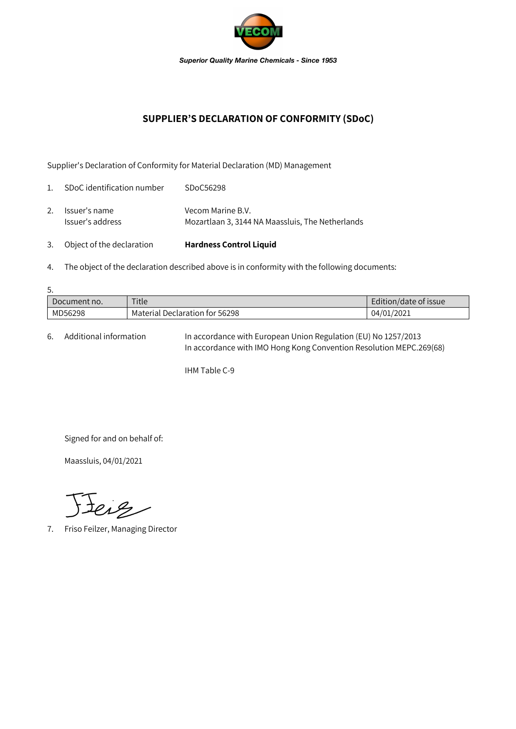

## **SUPPLIER'S DECLARATION OF CONFORMITY (SDoC)**

Supplier's Declaration of Conformity for Material Declaration (MD) Management

| 3.             | Object of the declaration         | <b>Hardness Control Liquid</b>                                        |
|----------------|-----------------------------------|-----------------------------------------------------------------------|
| 2.             | Issuer's name<br>Issuer's address | Vecom Marine B.V.<br>Mozartlaan 3, 3144 NA Maassluis, The Netherlands |
| $\mathbf{1}$ . | SDoC identification number        | SDoC56298                                                             |

4. The object of the declaration described above is in conformity with the following documents:

| 5.           |                                |                       |  |  |  |  |
|--------------|--------------------------------|-----------------------|--|--|--|--|
| Document no. | Title                          | Edition/date of issue |  |  |  |  |
| MD56298      | Material Declaration for 56298 | 04/01/2021            |  |  |  |  |

6. Additional information In accordance with European Union Regulation (EU) No 1257/2013 In accordance with IMO Hong Kong Convention Resolution MEPC.269(68)

IHM Table C-9

Signed for and on behalf of:

Maassluis, 04/01/2021

Jerg

7. Friso Feilzer, Managing Director